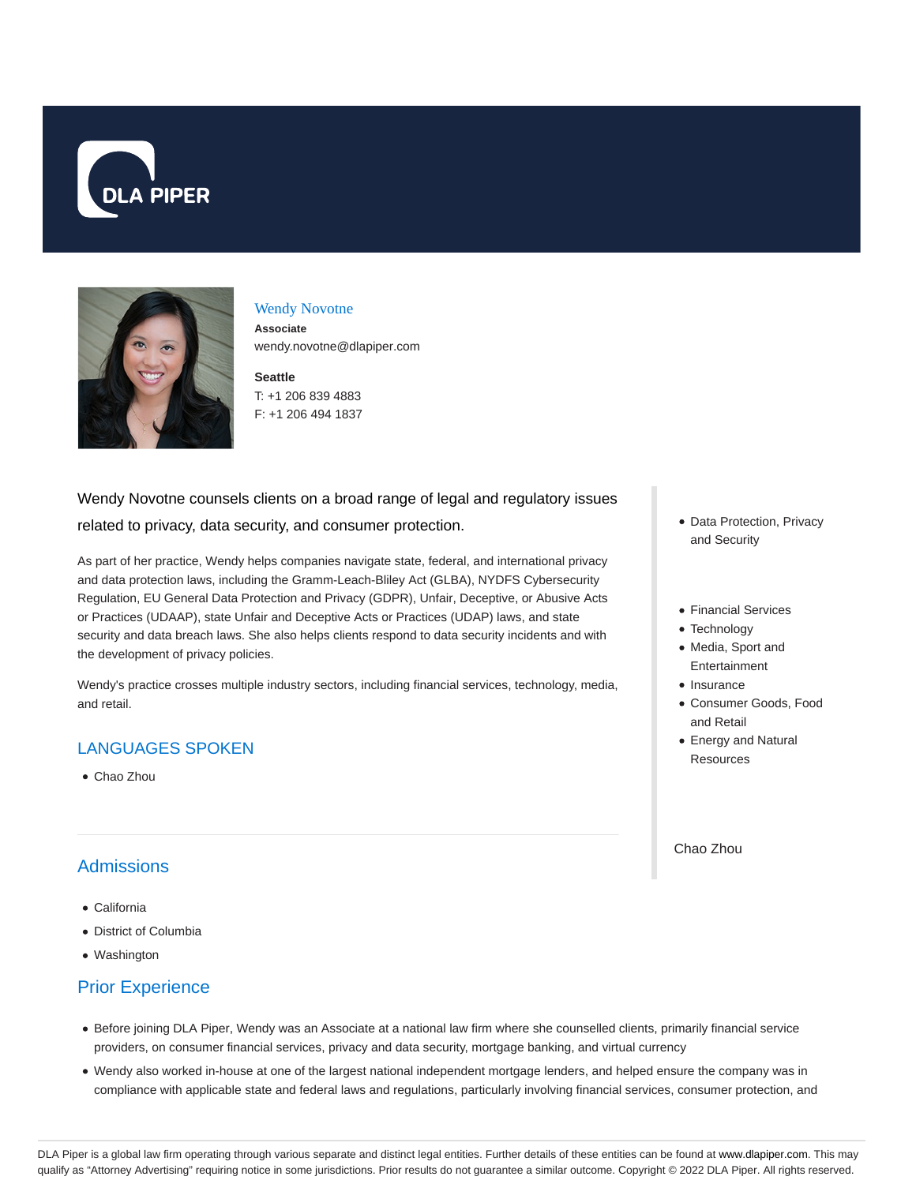



#### Wendy Novotne

**Associate** wendy.novotne@dlapiper.com

### **Seattle**

T: +1 206 839 4883 F: +1 206 494 1837

# Wendy Novotne counsels clients on a broad range of legal and regulatory issues related to privacy, data security, and consumer protection.

As part of her practice, Wendy helps companies navigate state, federal, and international privacy and data protection laws, including the Gramm-Leach-Bliley Act (GLBA), NYDFS Cybersecurity Regulation, EU General Data Protection and Privacy (GDPR), Unfair, Deceptive, or Abusive Acts or Practices (UDAAP), state Unfair and Deceptive Acts or Practices (UDAP) laws, and state security and data breach laws. She also helps clients respond to data security incidents and with the development of privacy policies.

Wendy's practice crosses multiple industry sectors, including financial services, technology, media, and retail.

## LANGUAGES SPOKEN

Chao Zhou

# **Admissions**

- California
- District of Columbia
- Washington

## Prior Experience

- Before joining DLA Piper, Wendy was an Associate at a national law firm where she counselled clients, primarily financial service providers, on consumer financial services, privacy and data security, mortgage banking, and virtual currency
- Wendy also worked in-house at one of the largest national independent mortgage lenders, and helped ensure the company was in compliance with applicable state and federal laws and regulations, particularly involving financial services, consumer protection, and
- Data Protection, Privacy and Security
- Financial Services
- Technology
- Media, Sport and Entertainment
- Insurance
- Consumer Goods, Food and Retail
- Energy and Natural Resources

Chao Zhou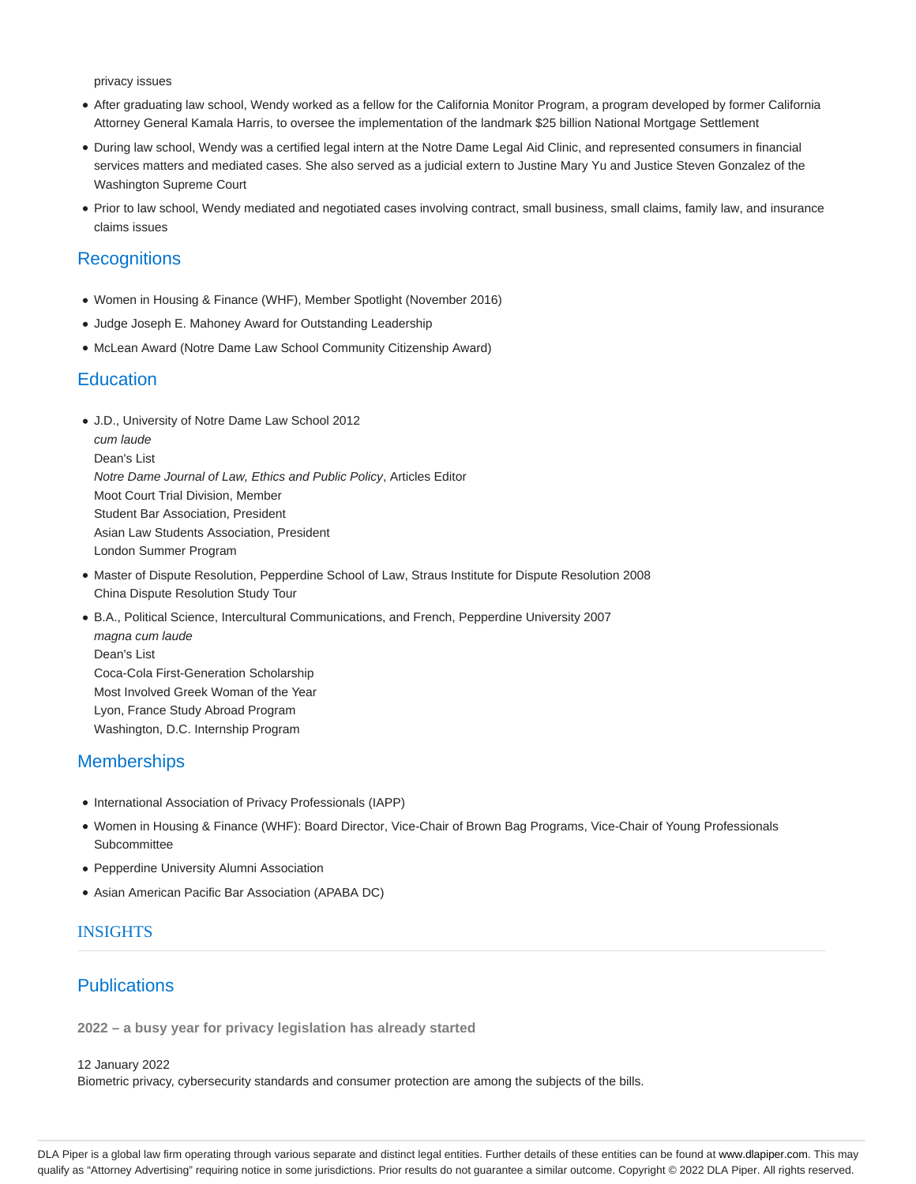privacy issues

- After graduating law school, Wendy worked as a fellow for the California Monitor Program, a program developed by former California Attorney General Kamala Harris, to oversee the implementation of the landmark \$25 billion National Mortgage Settlement
- During law school, Wendy was a certified legal intern at the Notre Dame Legal Aid Clinic, and represented consumers in financial services matters and mediated cases. She also served as a judicial extern to Justine Mary Yu and Justice Steven Gonzalez of the Washington Supreme Court
- Prior to law school, Wendy mediated and negotiated cases involving contract, small business, small claims, family law, and insurance claims issues

### **Recognitions**

- Women in Housing & Finance (WHF), Member Spotlight (November 2016)
- Judge Joseph E. Mahoney Award for Outstanding Leadership
- McLean Award (Notre Dame Law School Community Citizenship Award)

#### **Education**

- J.D., University of Notre Dame Law School 2012 cum laude Dean's List Notre Dame Journal of Law, Ethics and Public Policy, Articles Editor Moot Court Trial Division, Member Student Bar Association, President Asian Law Students Association, President London Summer Program
- Master of Dispute Resolution, Pepperdine School of Law, Straus Institute for Dispute Resolution 2008 China Dispute Resolution Study Tour
- B.A., Political Science, Intercultural Communications, and French, Pepperdine University 2007 magna cum laude Dean's List Coca-Cola First-Generation Scholarship Most Involved Greek Woman of the Year Lyon, France Study Abroad Program Washington, D.C. Internship Program

### **Memberships**

- International Association of Privacy Professionals (IAPP)
- Women in Housing & Finance (WHF): Board Director, Vice-Chair of Brown Bag Programs, Vice-Chair of Young Professionals **Subcommittee**
- Pepperdine University Alumni Association
- Asian American Pacific Bar Association (APABA DC)

#### INSIGHTS

### **Publications**

**2022 – a busy year for privacy legislation has already started**

12 January 2022

Biometric privacy, cybersecurity standards and consumer protection are among the subjects of the bills.

DLA Piper is a global law firm operating through various separate and distinct legal entities. Further details of these entities can be found at www.dlapiper.com. This may qualify as "Attorney Advertising" requiring notice in some jurisdictions. Prior results do not guarantee a similar outcome. Copyright © 2022 DLA Piper. All rights reserved.